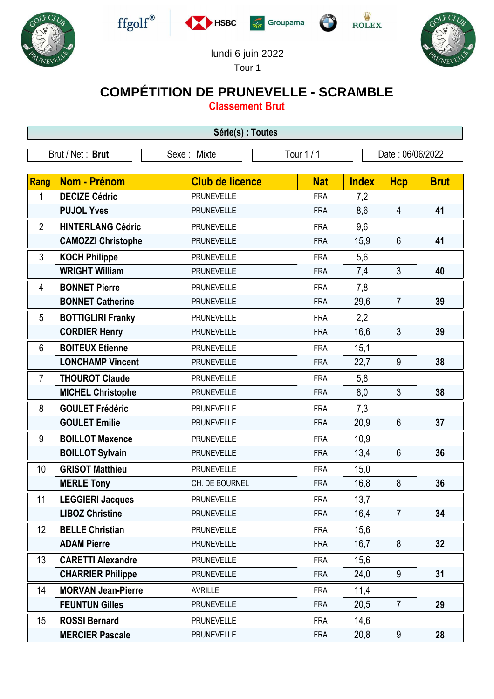











lundi 6 juin 2022 Tour 1

## **COMPÉTITION DE PRUNEVELLE - SCRAMBLE**

**Classement Brut**

| Série(s) : Toutes |                           |                           |            |                  |                 |             |  |  |  |  |
|-------------------|---------------------------|---------------------------|------------|------------------|-----------------|-------------|--|--|--|--|
| Brut / Net: Brut  |                           | Tour 1 / 1<br>Sexe: Mixte |            | Date: 06/06/2022 |                 |             |  |  |  |  |
|                   |                           |                           |            |                  |                 |             |  |  |  |  |
| <b>Rang</b>       | <b>Nom - Prénom</b>       | <b>Club de licence</b>    | <b>Nat</b> | <b>Index</b>     | <b>Hcp</b>      | <b>Brut</b> |  |  |  |  |
| 1                 | <b>DECIZE Cédric</b>      | <b>PRUNEVELLE</b>         | <b>FRA</b> | 7,2              |                 |             |  |  |  |  |
|                   | <b>PUJOL Yves</b>         | <b>PRUNEVELLE</b>         | <b>FRA</b> | 8,6              | $\overline{4}$  | 41          |  |  |  |  |
| $\overline{2}$    | <b>HINTERLANG Cédric</b>  | <b>PRUNEVELLE</b>         | <b>FRA</b> | 9,6              |                 |             |  |  |  |  |
|                   | <b>CAMOZZI Christophe</b> | <b>PRUNEVELLE</b>         | <b>FRA</b> | 15,9             | $6\phantom{1}$  | 41          |  |  |  |  |
| 3                 | <b>KOCH Philippe</b>      | <b>PRUNEVELLE</b>         | <b>FRA</b> | 5,6              |                 |             |  |  |  |  |
|                   | <b>WRIGHT William</b>     | <b>PRUNEVELLE</b>         | <b>FRA</b> | 7,4              | 3               | 40          |  |  |  |  |
| 4                 | <b>BONNET Pierre</b>      | <b>PRUNEVELLE</b>         | <b>FRA</b> | 7,8              |                 |             |  |  |  |  |
|                   | <b>BONNET Catherine</b>   | <b>PRUNEVELLE</b>         | <b>FRA</b> | 29,6             | $\overline{7}$  | 39          |  |  |  |  |
| 5                 | <b>BOTTIGLIRI Franky</b>  | <b>PRUNEVELLE</b>         | <b>FRA</b> | 2,2              |                 |             |  |  |  |  |
|                   | <b>CORDIER Henry</b>      | <b>PRUNEVELLE</b>         | <b>FRA</b> | 16,6             | 3               | 39          |  |  |  |  |
| 6                 | <b>BOITEUX Etienne</b>    | <b>PRUNEVELLE</b>         | <b>FRA</b> | 15,1             |                 |             |  |  |  |  |
|                   | <b>LONCHAMP Vincent</b>   | <b>PRUNEVELLE</b>         | <b>FRA</b> | 22,7             | 9               | 38          |  |  |  |  |
| 7                 | <b>THOUROT Claude</b>     | <b>PRUNEVELLE</b>         | <b>FRA</b> | 5,8              |                 |             |  |  |  |  |
|                   | <b>MICHEL Christophe</b>  | <b>PRUNEVELLE</b>         | <b>FRA</b> | 8,0              | 3               | 38          |  |  |  |  |
| 8                 | <b>GOULET Frédéric</b>    | <b>PRUNEVELLE</b>         | <b>FRA</b> | 7,3              |                 |             |  |  |  |  |
|                   | <b>GOULET Emilie</b>      | <b>PRUNEVELLE</b>         | <b>FRA</b> | 20,9             | $6\phantom{1}$  | 37          |  |  |  |  |
| 9                 | <b>BOILLOT Maxence</b>    | <b>PRUNEVELLE</b>         | <b>FRA</b> | 10,9             |                 |             |  |  |  |  |
|                   | <b>BOILLOT Sylvain</b>    | <b>PRUNEVELLE</b>         | <b>FRA</b> | 13,4             | 6               | 36          |  |  |  |  |
| 10                | <b>GRISOT Matthieu</b>    | <b>PRUNEVELLE</b>         | <b>FRA</b> | 15,0             |                 |             |  |  |  |  |
|                   | <b>MERLE Tony</b>         | CH. DE BOURNEL            | <b>FRA</b> | 16,8             | 8               | 36          |  |  |  |  |
| 11                | <b>LEGGIERI Jacques</b>   | PRUNEVELLE                | <b>FRA</b> | 13,7             |                 |             |  |  |  |  |
|                   | <b>LIBOZ Christine</b>    | <b>PRUNEVELLE</b>         | <b>FRA</b> | 16,4             | $7\overline{ }$ | 34          |  |  |  |  |
| 12                | <b>BELLE Christian</b>    | <b>PRUNEVELLE</b>         | <b>FRA</b> | 15,6             |                 |             |  |  |  |  |
|                   | <b>ADAM Pierre</b>        | <b>PRUNEVELLE</b>         | <b>FRA</b> | 16,7             | 8               | 32          |  |  |  |  |
| 13                | <b>CARETTI Alexandre</b>  | <b>PRUNEVELLE</b>         | <b>FRA</b> | 15,6             |                 |             |  |  |  |  |
|                   | <b>CHARRIER Philippe</b>  | <b>PRUNEVELLE</b>         | <b>FRA</b> | 24,0             | 9               | 31          |  |  |  |  |
| 14                | <b>MORVAN Jean-Pierre</b> | <b>AVRILLE</b>            | <b>FRA</b> | 11,4             |                 |             |  |  |  |  |
|                   | <b>FEUNTUN Gilles</b>     | <b>PRUNEVELLE</b>         | <b>FRA</b> | 20,5             | $\overline{7}$  | 29          |  |  |  |  |
| 15                | <b>ROSSI Bernard</b>      | <b>PRUNEVELLE</b>         | <b>FRA</b> | 14,6             |                 |             |  |  |  |  |
|                   | <b>MERCIER Pascale</b>    | <b>PRUNEVELLE</b>         | <b>FRA</b> | 20,8             | $9\,$           | 28          |  |  |  |  |